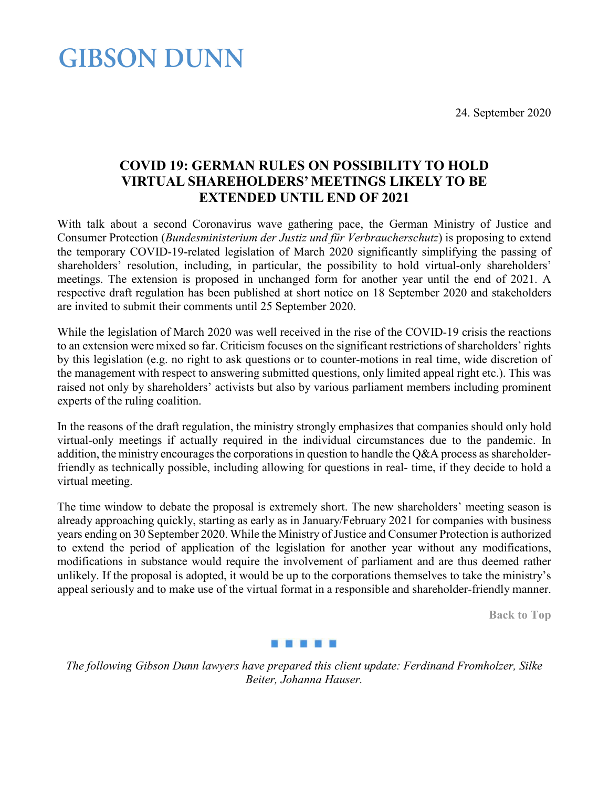24. September 2020

## **GIBSON DUNN**

## **COVID 19: GERMAN RULES ON POSSIBILITY TO HOLD VIRTUAL SHAREHOLDERS' MEETINGS LIKELY TO BE EXTENDED UNTIL END OF 2021**

With talk about a second Coronavirus wave gathering pace, the German Ministry of Justice and Consumer Protection (*Bundesministerium der Justiz und für Verbraucherschutz*) is proposing to extend the temporary COVID-19-related legislation of March 2020 significantly simplifying the passing of shareholders' resolution, including, in particular, the possibility to hold virtual-only shareholders' meetings. The extension is proposed in unchanged form for another year until the end of 2021. A respective draft regulation has been published at short notice on 18 September 2020 and stakeholders are invited to submit their comments until 25 September 2020.

While the legislation of March 2020 was well received in the rise of the COVID-19 crisis the reactions to an extension were mixed so far. Criticism focuses on the significant restrictions of shareholders' rights by this legislation (e.g. no right to ask questions or to counter-motions in real time, wide discretion of the management with respect to answering submitted questions, only limited appeal right etc.). This was raised not only by shareholders' activists but also by various parliament members including prominent experts of the ruling coalition.

In the reasons of the draft regulation, the ministry strongly emphasizes that companies should only hold virtual-only meetings if actually required in the individual circumstances due to the pandemic. In addition, the ministry encourages the corporations in question to handle the Q&A process as shareholderfriendly as technically possible, including allowing for questions in real- time, if they decide to hold a virtual meeting.

The time window to debate the proposal is extremely short. The new shareholders' meeting season is already approaching quickly, starting as early as in January/February 2021 for companies with business years ending on 30 September 2020. While the Ministry of Justice and Consumer Protection is authorized to extend the period of application of the legislation for another year without any modifications, modifications in substance would require the involvement of parliament and are thus deemed rather unlikely. If the proposal is adopted, it would be up to the corporations themselves to take the ministry's appeal seriously and to make use of the virtual format in a responsible and shareholder-friendly manner.

**Back to Top**

## 86 T 86 T 8

*The following Gibson Dunn lawyers have prepared this client update: Ferdinand Fromholzer, Silke Beiter, Johanna Hauser.*